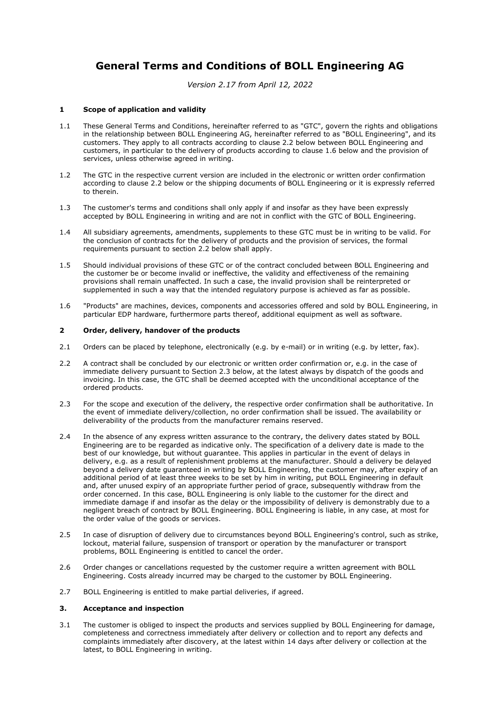# **General Terms and Conditions of BOLL Engineering AG**

*Version 2.17 from April 12, 2022*

# **1 Scope of application and validity**

- 1.1 These General Terms and Conditions, hereinafter referred to as "GTC", govern the rights and obligations in the relationship between BOLL Engineering AG, hereinafter referred to as "BOLL Engineering", and its customers. They apply to all contracts according to clause 2.2 below between BOLL Engineering and customers, in particular to the delivery of products according to clause 1.6 below and the provision of services, unless otherwise agreed in writing.
- 1.2 The GTC in the respective current version are included in the electronic or written order confirmation according to clause 2.2 below or the shipping documents of BOLL Engineering or it is expressly referred to therein.
- 1.3 The customer's terms and conditions shall only apply if and insofar as they have been expressly accepted by BOLL Engineering in writing and are not in conflict with the GTC of BOLL Engineering.
- 1.4 All subsidiary agreements, amendments, supplements to these GTC must be in writing to be valid. For the conclusion of contracts for the delivery of products and the provision of services, the formal requirements pursuant to section 2.2 below shall apply.
- 1.5 Should individual provisions of these GTC or of the contract concluded between BOLL Engineering and the customer be or become invalid or ineffective, the validity and effectiveness of the remaining provisions shall remain unaffected. In such a case, the invalid provision shall be reinterpreted or supplemented in such a way that the intended regulatory purpose is achieved as far as possible.
- 1.6 "Products" are machines, devices, components and accessories offered and sold by BOLL Engineering, in particular EDP hardware, furthermore parts thereof, additional equipment as well as software.

# **2 Order, delivery, handover of the products**

- 2.1 Orders can be placed by telephone, electronically (e.g. by e-mail) or in writing (e.g. by letter, fax).
- 2.2 A contract shall be concluded by our electronic or written order confirmation or, e.g. in the case of immediate delivery pursuant to Section 2.3 below, at the latest always by dispatch of the goods and invoicing. In this case, the GTC shall be deemed accepted with the unconditional acceptance of the ordered products.
- 2.3 For the scope and execution of the delivery, the respective order confirmation shall be authoritative. In the event of immediate delivery/collection, no order confirmation shall be issued. The availability or deliverability of the products from the manufacturer remains reserved.
- 2.4 In the absence of any express written assurance to the contrary, the delivery dates stated by BOLL Engineering are to be regarded as indicative only. The specification of a delivery date is made to the best of our knowledge, but without guarantee. This applies in particular in the event of delays in delivery, e.g. as a result of replenishment problems at the manufacturer. Should a delivery be delayed beyond a delivery date guaranteed in writing by BOLL Engineering, the customer may, after expiry of an additional period of at least three weeks to be set by him in writing, put BOLL Engineering in default and, after unused expiry of an appropriate further period of grace, subsequently withdraw from the order concerned. In this case, BOLL Engineering is only liable to the customer for the direct and immediate damage if and insofar as the delay or the impossibility of delivery is demonstrably due to a negligent breach of contract by BOLL Engineering. BOLL Engineering is liable, in any case, at most for the order value of the goods or services.
- 2.5 In case of disruption of delivery due to circumstances beyond BOLL Engineering's control, such as strike, lockout, material failure, suspension of transport or operation by the manufacturer or transport problems, BOLL Engineering is entitled to cancel the order.
- 2.6 Order changes or cancellations requested by the customer require a written agreement with BOLL Engineering. Costs already incurred may be charged to the customer by BOLL Engineering.
- 2.7 BOLL Engineering is entitled to make partial deliveries, if agreed.

# **3. Acceptance and inspection**

3.1 The customer is obliged to inspect the products and services supplied by BOLL Engineering for damage, completeness and correctness immediately after delivery or collection and to report any defects and complaints immediately after discovery, at the latest within 14 days after delivery or collection at the latest, to BOLL Engineering in writing.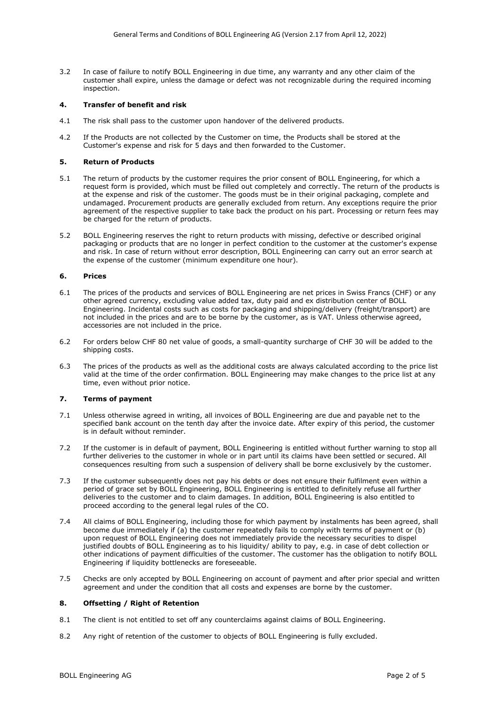3.2 In case of failure to notify BOLL Engineering in due time, any warranty and any other claim of the customer shall expire, unless the damage or defect was not recognizable during the required incoming inspection.

### **4. Transfer of benefit and risk**

- 4.1 The risk shall pass to the customer upon handover of the delivered products.
- 4.2 If the Products are not collected by the Customer on time, the Products shall be stored at the Customer's expense and risk for 5 days and then forwarded to the Customer.

#### **5. Return of Products**

- 5.1 The return of products by the customer requires the prior consent of BOLL Engineering, for which a request form is provided, which must be filled out completely and correctly. The return of the products is at the expense and risk of the customer. The goods must be in their original packaging, complete and undamaged. Procurement products are generally excluded from return. Any exceptions require the prior agreement of the respective supplier to take back the product on his part. Processing or return fees may be charged for the return of products.
- 5.2 BOLL Engineering reserves the right to return products with missing, defective or described original packaging or products that are no longer in perfect condition to the customer at the customer's expense and risk. In case of return without error description, BOLL Engineering can carry out an error search at the expense of the customer (minimum expenditure one hour).

## **6. Prices**

- 6.1 The prices of the products and services of BOLL Engineering are net prices in Swiss Francs (CHF) or any other agreed currency, excluding value added tax, duty paid and ex distribution center of BOLL Engineering. Incidental costs such as costs for packaging and shipping/delivery (freight/transport) are not included in the prices and are to be borne by the customer, as is VAT. Unless otherwise agreed, accessories are not included in the price.
- 6.2 For orders below CHF 80 net value of goods, a small-quantity surcharge of CHF 30 will be added to the shipping costs.
- 6.3 The prices of the products as well as the additional costs are always calculated according to the price list valid at the time of the order confirmation. BOLL Engineering may make changes to the price list at any time, even without prior notice.

# **7. Terms of payment**

- 7.1 Unless otherwise agreed in writing, all invoices of BOLL Engineering are due and payable net to the specified bank account on the tenth day after the invoice date. After expiry of this period, the customer is in default without reminder.
- 7.2 If the customer is in default of payment, BOLL Engineering is entitled without further warning to stop all further deliveries to the customer in whole or in part until its claims have been settled or secured. All consequences resulting from such a suspension of delivery shall be borne exclusively by the customer.
- 7.3 If the customer subsequently does not pay his debts or does not ensure their fulfilment even within a period of grace set by BOLL Engineering, BOLL Engineering is entitled to definitely refuse all further deliveries to the customer and to claim damages. In addition, BOLL Engineering is also entitled to proceed according to the general legal rules of the CO.
- 7.4 All claims of BOLL Engineering, including those for which payment by instalments has been agreed, shall become due immediately if (a) the customer repeatedly fails to comply with terms of payment or (b) upon request of BOLL Engineering does not immediately provide the necessary securities to dispel justified doubts of BOLL Engineering as to his liquidity/ ability to pay, e.g. in case of debt collection or other indications of payment difficulties of the customer. The customer has the obligation to notify BOLL Engineering if liquidity bottlenecks are foreseeable.
- 7.5 Checks are only accepted by BOLL Engineering on account of payment and after prior special and written agreement and under the condition that all costs and expenses are borne by the customer.

#### **8. Offsetting / Right of Retention**

- 8.1 The client is not entitled to set off any counterclaims against claims of BOLL Engineering.
- 8.2 Any right of retention of the customer to objects of BOLL Engineering is fully excluded.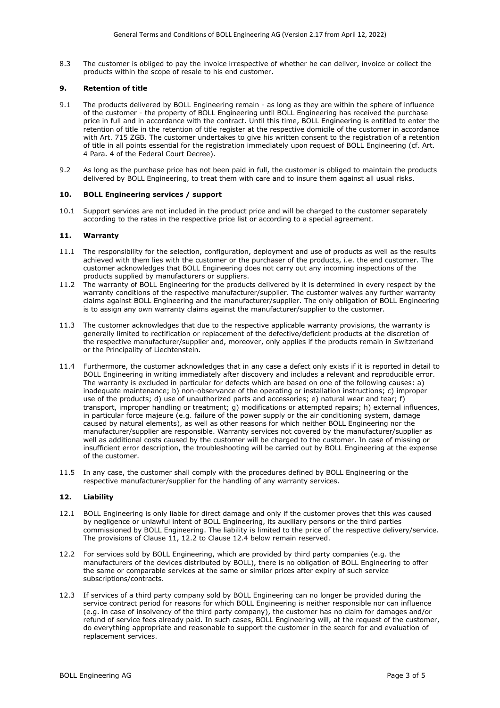8.3 The customer is obliged to pay the invoice irrespective of whether he can deliver, invoice or collect the products within the scope of resale to his end customer.

# **9. Retention of title**

- 9.1 The products delivered by BOLL Engineering remain as long as they are within the sphere of influence of the customer - the property of BOLL Engineering until BOLL Engineering has received the purchase price in full and in accordance with the contract. Until this time, BOLL Engineering is entitled to enter the retention of title in the retention of title register at the respective domicile of the customer in accordance with Art. 715 ZGB. The customer undertakes to give his written consent to the registration of a retention of title in all points essential for the registration immediately upon request of BOLL Engineering (cf. Art. 4 Para. 4 of the Federal Court Decree).
- 9.2 As long as the purchase price has not been paid in full, the customer is obliged to maintain the products delivered by BOLL Engineering, to treat them with care and to insure them against all usual risks.

## **10. BOLL Engineering services / support**

10.1 Support services are not included in the product price and will be charged to the customer separately according to the rates in the respective price list or according to a special agreement.

# **11. Warranty**

- 11.1 The responsibility for the selection, configuration, deployment and use of products as well as the results achieved with them lies with the customer or the purchaser of the products, i.e. the end customer. The customer acknowledges that BOLL Engineering does not carry out any incoming inspections of the products supplied by manufacturers or suppliers.
- 11.2 The warranty of BOLL Engineering for the products delivered by it is determined in every respect by the warranty conditions of the respective manufacturer/supplier. The customer waives any further warranty claims against BOLL Engineering and the manufacturer/supplier. The only obligation of BOLL Engineering is to assign any own warranty claims against the manufacturer/supplier to the customer.
- 11.3 The customer acknowledges that due to the respective applicable warranty provisions, the warranty is generally limited to rectification or replacement of the defective/deficient products at the discretion of the respective manufacturer/supplier and, moreover, only applies if the products remain in Switzerland or the Principality of Liechtenstein.
- 11.4 Furthermore, the customer acknowledges that in any case a defect only exists if it is reported in detail to BOLL Engineering in writing immediately after discovery and includes a relevant and reproducible error. The warranty is excluded in particular for defects which are based on one of the following causes: a) inadequate maintenance; b) non-observance of the operating or installation instructions; c) improper use of the products; d) use of unauthorized parts and accessories; e) natural wear and tear; f) transport, improper handling or treatment; g) modifications or attempted repairs; h) external influences, in particular force majeure (e.g. failure of the power supply or the air conditioning system, damage caused by natural elements), as well as other reasons for which neither BOLL Engineering nor the manufacturer/supplier are responsible. Warranty services not covered by the manufacturer/supplier as well as additional costs caused by the customer will be charged to the customer. In case of missing or insufficient error description, the troubleshooting will be carried out by BOLL Engineering at the expense of the customer.
- 11.5 In any case, the customer shall comply with the procedures defined by BOLL Engineering or the respective manufacturer/supplier for the handling of any warranty services.

#### **12. Liability**

- 12.1 BOLL Engineering is only liable for direct damage and only if the customer proves that this was caused by negligence or unlawful intent of BOLL Engineering, its auxiliary persons or the third parties commissioned by BOLL Engineering. The liability is limited to the price of the respective delivery/service. The provisions of Clause 11, 12.2 to Clause 12.4 below remain reserved.
- 12.2 For services sold by BOLL Engineering, which are provided by third party companies (e.g. the manufacturers of the devices distributed by BOLL), there is no obligation of BOLL Engineering to offer the same or comparable services at the same or similar prices after expiry of such service subscriptions/contracts.
- 12.3 If services of a third party company sold by BOLL Engineering can no longer be provided during the service contract period for reasons for which BOLL Engineering is neither responsible nor can influence (e.g. in case of insolvency of the third party company), the customer has no claim for damages and/or refund of service fees already paid. In such cases, BOLL Engineering will, at the request of the customer, do everything appropriate and reasonable to support the customer in the search for and evaluation of replacement services.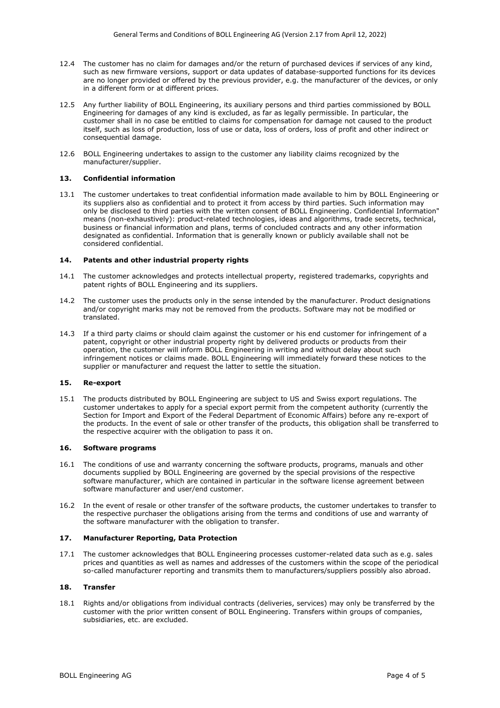- 12.4 The customer has no claim for damages and/or the return of purchased devices if services of any kind, such as new firmware versions, support or data updates of database-supported functions for its devices are no longer provided or offered by the previous provider, e.g. the manufacturer of the devices, or only in a different form or at different prices.
- 12.5 Any further liability of BOLL Engineering, its auxiliary persons and third parties commissioned by BOLL Engineering for damages of any kind is excluded, as far as legally permissible. In particular, the customer shall in no case be entitled to claims for compensation for damage not caused to the product itself, such as loss of production, loss of use or data, loss of orders, loss of profit and other indirect or consequential damage.
- 12.6 BOLL Engineering undertakes to assign to the customer any liability claims recognized by the manufacturer/supplier.

### **13. Confidential information**

13.1 The customer undertakes to treat confidential information made available to him by BOLL Engineering or its suppliers also as confidential and to protect it from access by third parties. Such information may only be disclosed to third parties with the written consent of BOLL Engineering. Confidential Information" means (non-exhaustively): product-related technologies, ideas and algorithms, trade secrets, technical, business or financial information and plans, terms of concluded contracts and any other information designated as confidential. Information that is generally known or publicly available shall not be considered confidential.

## **14. Patents and other industrial property rights**

- 14.1 The customer acknowledges and protects intellectual property, registered trademarks, copyrights and patent rights of BOLL Engineering and its suppliers.
- 14.2 The customer uses the products only in the sense intended by the manufacturer. Product designations and/or copyright marks may not be removed from the products. Software may not be modified or translated.
- 14.3 If a third party claims or should claim against the customer or his end customer for infringement of a patent, copyright or other industrial property right by delivered products or products from their operation, the customer will inform BOLL Engineering in writing and without delay about such infringement notices or claims made. BOLL Engineering will immediately forward these notices to the supplier or manufacturer and request the latter to settle the situation.

# **15. Re-export**

15.1 The products distributed by BOLL Engineering are subject to US and Swiss export regulations. The customer undertakes to apply for a special export permit from the competent authority (currently the Section for Import and Export of the Federal Department of Economic Affairs) before any re-export of the products. In the event of sale or other transfer of the products, this obligation shall be transferred to the respective acquirer with the obligation to pass it on.

## **16. Software programs**

- 16.1 The conditions of use and warranty concerning the software products, programs, manuals and other documents supplied by BOLL Engineering are governed by the special provisions of the respective software manufacturer, which are contained in particular in the software license agreement between software manufacturer and user/end customer.
- 16.2 In the event of resale or other transfer of the software products, the customer undertakes to transfer to the respective purchaser the obligations arising from the terms and conditions of use and warranty of the software manufacturer with the obligation to transfer.

#### **17. Manufacturer Reporting, Data Protection**

17.1 The customer acknowledges that BOLL Engineering processes customer-related data such as e.g. sales prices and quantities as well as names and addresses of the customers within the scope of the periodical so-called manufacturer reporting and transmits them to manufacturers/suppliers possibly also abroad.

# **18. Transfer**

18.1 Rights and/or obligations from individual contracts (deliveries, services) may only be transferred by the customer with the prior written consent of BOLL Engineering. Transfers within groups of companies, subsidiaries, etc. are excluded.